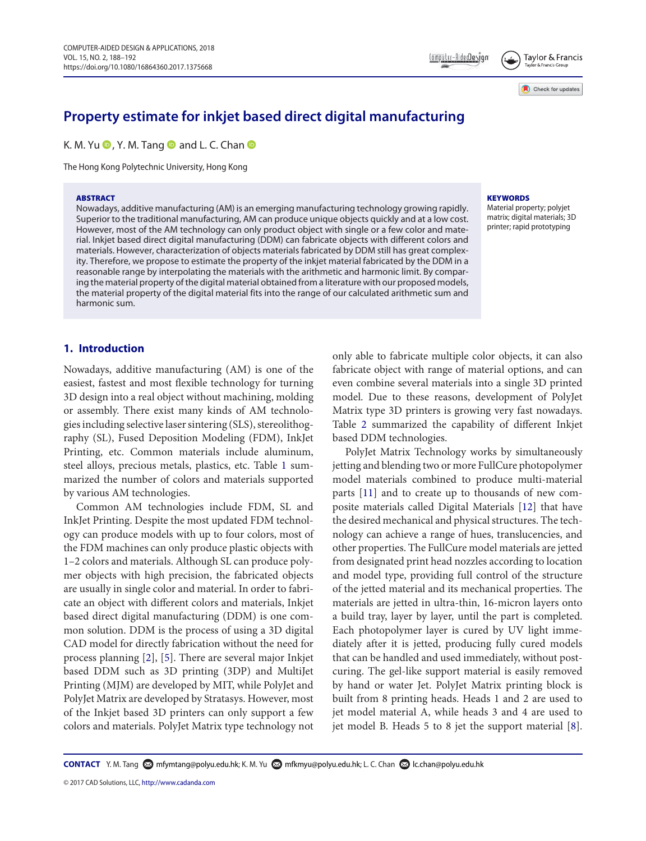## Taylor & Francis

Check for updates

# **Property estimate for inkjet based direct digital manufacturing**

K. M. Yu  $\bullet$ [,](http://orcid.org/0000-0002-5187-9006) Y. M. Tang  $\bullet$  and L. C. Chan  $\bullet$ 

The Hong Kong Polytechnic University, Hong Kong

#### **ABSTRACT**

Nowadays, additive manufacturing (AM) is an emerging manufacturing technology growing rapidly. Superior to the traditional manufacturing, AM can produce unique objects quickly and at a low cost. However, most of the AM technology can only product object with single or a few color and material. Inkjet based direct digital manufacturing (DDM) can fabricate objects with different colors and materials. However, characterization of objects materials fabricated by DDM still has great complexity. Therefore, we propose to estimate the property of the inkjet material fabricated by the DDM in a reasonable range by interpolating the materials with the arithmetic and harmonic limit. By comparing the material property of the digital material obtained from a literature with our proposed models, the material property of the digital material fits into the range of our calculated arithmetic sum and harmonic sum.

#### **KEYWORDS**

Material property; polyjet matrix; digital materials; 3D printer; rapid prototyping

## **1. Introduction**

Nowadays, additive manufacturing (AM) is one of the easiest, fastest and most flexible technology for turning 3D design into a real object without machining, molding or assembly. There exist many kinds of AM technologies including selective laser sintering (SLS), stereolithography (SL), Fused Deposition Modeling (FDM), InkJet Printing, etc. Common materials include aluminum, steel alloys, precious metals, plastics, etc. Table [1](#page-1-0) summarized the number of colors and materials supported by various AM technologies.

Common AM technologies include FDM, SL and InkJet Printing. Despite the most updated FDM technology can produce models with up to four colors, most of the FDM machines can only produce plastic objects with 1–2 colors and materials. Although SL can produce polymer objects with high precision, the fabricated objects are usually in single color and material. In order to fabricate an object with different colors and materials, Inkjet based direct digital manufacturing (DDM) is one common solution. DDM is the process of using a 3D digital CAD model for directly fabrication without the need for process planning [\[2\]](#page-4-0), [\[5](#page-4-1)]. There are several major Inkjet based DDM such as 3D printing (3DP) and MultiJet Printing (MJM) are developed by MIT, while PolyJet and PolyJet Matrix are developed by Stratasys. However, most of the Inkjet based 3D printers can only support a few colors and materials. PolyJet Matrix type technology not

only able to fabricate multiple color objects, it can also fabricate object with range of material options, and can even combine several materials into a single 3D printed model. Due to these reasons, development of PolyJet Matrix type 3D printers is growing very fast nowadays. Table [2](#page-1-1) summarized the capability of different Inkjet based DDM technologies.

<span id="page-0-2"></span>PolyJet Matrix Technology works by simultaneously jetting and blending two or more FullCure photopolymer model materials combined to produce multi-material parts [\[11\]](#page-4-2) and to create up to thousands of new composite materials called Digital Materials [\[12\]](#page-4-3) that have the desired mechanical and physical structures. The technology can achieve a range of hues, translucencies, and other properties. The FullCure model materials are jetted from designated print head nozzles according to location and model type, providing full control of the structure of the jetted material and its mechanical properties. The materials are jetted in ultra-thin, 16-micron layers onto a build tray, layer by layer, until the part is completed. Each photopolymer layer is cured by UV light immediately after it is jetted, producing fully cured models that can be handled and used immediately, without postcuring. The gel-like support material is easily removed by hand or water Jet. PolyJet Matrix printing block is built from 8 printing heads. Heads 1 and 2 are used to jet model material A, while heads 3 and 4 are used to jet model B. Heads 5 to 8 jet the support material [\[8\]](#page-4-4).

<span id="page-0-1"></span><span id="page-0-0"></span>CONTACT Y. M. Tang **۞** [mfymtang@polyu.edu.hk;](mailto:mfymtang@polyu.edu.hk) K. M. Yu ۞ [mfkmyu@polyu.edu.hk;](mailto:mfkmyu@polyu.edu.hk) L. C. Chan ۞ Ic.chan@polyu.edu.hk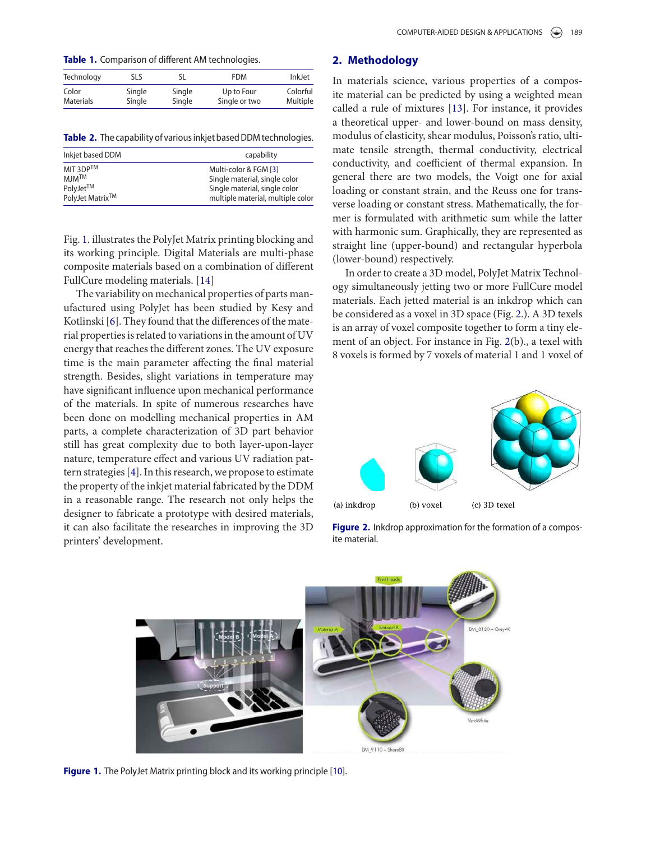**Table 1.** Comparison of different AM technologies.

<span id="page-1-0"></span>

| Technology       | SLS    |        | <b>FDM</b>    | InkJet   |
|------------------|--------|--------|---------------|----------|
| Color            | Single | Single | Up to Four    | Colorful |
| <b>Materials</b> | Single | Single | Single or two | Multiple |

**Table 2.** The capability of various inkjet based DDM technologies.

<span id="page-1-1"></span>

| Inkjet based DDM      | capability                        |  |  |
|-----------------------|-----------------------------------|--|--|
| MIT 3DPTM             | Multi-color & FGM [3]             |  |  |
| MIM <sup>TM</sup>     | Single material, single color     |  |  |
| PolyJet <sup>TM</sup> | Single material, single color     |  |  |
| PolyJet Matrix™       | multiple material, multiple color |  |  |

Fig. [1.](#page-1-2) illustrates the PolyJet Matrix printing blocking and its working principle. Digital Materials are multi-phase composite materials based on a combination of different FullCure modeling materials. [\[14\]](#page-4-6)

<span id="page-1-6"></span>The variability on mechanical properties of parts manufactured using PolyJet has been studied by Kesy and Kotlinski [\[6\]](#page-4-7). They found that the differences of the material properties is related to variations in the amount of UV energy that reaches the different zones. The UV exposure time is the main parameter affecting the final material strength. Besides, slight variations in temperature may have significant influence upon mechanical performance of the materials. In spite of numerous researches have been done on modelling mechanical properties in AM parts, a complete characterization of 3D part behavior still has great complexity due to both layer-upon-layer nature, temperature effect and various UV radiation pattern strategies [\[4](#page-4-8)]. In this research, we propose to estimate the property of the inkjet material fabricated by the DDM in a reasonable range. The research not only helps the designer to fabricate a prototype with desired materials, it can also facilitate the researches in improving the 3D printers' development.

### **2. Methodology**

<span id="page-1-7"></span><span id="page-1-4"></span>In materials science, various properties of a composite material can be predicted by using a weighted mean called a rule of mixtures [\[13\]](#page-4-9). For instance, it provides a theoretical upper- and lower-bound on mass density, modulus of elasticity, shear modulus, Poisson's ratio, ultimate tensile strength, thermal conductivity, electrical conductivity, and coefficient of thermal expansion. In general there are two models, the Voigt one for axial loading or constant strain, and the Reuss one for transverse loading or constant stress. Mathematically, the former is formulated with arithmetic sum while the latter with harmonic sum. Graphically, they are represented as straight line (upper-bound) and rectangular hyperbola (lower-bound) respectively.

In order to create a 3D model, PolyJet Matrix Technology simultaneously jetting two or more FullCure model materials. Each jetted material is an inkdrop which can be considered as a voxel in 3D space (Fig. [2.](#page-1-3)). A 3D texels is an array of voxel composite together to form a tiny element of an object. For instance in Fig. [2\(](#page-1-3)b)., a texel with 8 voxels is formed by 7 voxels of material 1 and 1 voxel of



<span id="page-1-3"></span>**Figure 2.** Inkdrop approximation for the formation of a composite material.

<span id="page-1-5"></span><span id="page-1-2"></span>

**Figure 1.** The PolyJet Matrix printing block and its working principle [\[10](#page-4-10)].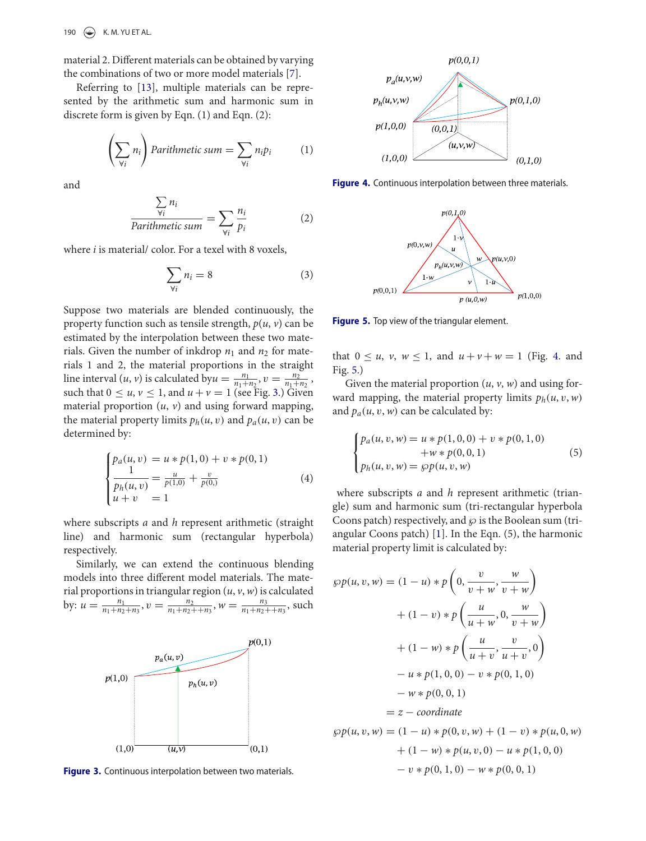190  $\left(\bigstar\right)$  K.M. YU ET AL.

material 2. Different materials can be obtained by varying the combinations of two or more model materials [\[7](#page-4-11)].

Referring to [\[13](#page-4-9)], multiple materials can be represented by the arithmetic sum and harmonic sum in discrete form is given by Eqn. (1) and Eqn. (2):

$$
\left(\sum_{\forall i} n_i\right) Parithmetic sum = \sum_{\forall i} n_i p_i \tag{1}
$$

and

$$
\frac{\sum_{\forall i} n_i}{Parithmetic sum} = \sum_{\forall i} \frac{n_i}{p_i}
$$
 (2)

where *i* is material/ color. For a texel with 8 voxels,

$$
\sum_{\forall i} n_i = 8 \tag{3}
$$

Suppose two materials are blended continuously, the property function such as tensile strength,  $p(u, v)$  can be estimated by the interpolation between these two materials. Given the number of inkdrop  $n_1$  and  $n_2$  for materials 1 and 2, the material proportions in the straight line interval  $(u, v)$  is calculated by  $u = \frac{n_1}{n_1 + n_2}$ ,  $v = \frac{n_2}{n_1 + n_2}$ , such that  $0 \le u, v \le 1$ , and  $u + v = 1$  (see Fig. [3.](#page-2-0)) Given material proportion  $(u, v)$  and using forward mapping, the material property limits  $p_h(u, v)$  and  $p_a(u, v)$  can be determined by:

$$
\begin{cases}\np_a(u, v) = u * p(1, 0) + v * p(0, 1) \\
\frac{1}{p_h(u, v)} = \frac{u}{p(1, 0)} + \frac{v}{p(0, 0)} \\
u + v = 1\n\end{cases}
$$
\n(4)

where subscripts *a* and *h* represent arithmetic (straight line) and harmonic sum (rectangular hyperbola) respectively.

Similarly, we can extend the continuous blending models into three different model materials. The material proportions in triangular region (*u*, *v*, *w*) is calculated by:  $u = \frac{n_1}{n_1 + n_2 + n_3}$ ,  $v = \frac{n_2}{n_1 + n_2 + n_3}$ ,  $w = \frac{n_3}{n_1 + n_2 + n_3}$ , such



<span id="page-2-0"></span>**Figure 3.** Continuous interpolation between two materials.

<span id="page-2-4"></span>

**Figure 4.** Continuous interpolation between three materials.

<span id="page-2-1"></span>

<span id="page-2-2"></span>**Figure 5.** Top view of the triangular element.

that  $0 \le u$ ,  $v$ ,  $w \le 1$ , and  $u + v + w = 1$  (Fig. [4.](#page-2-1) and Fig. [5.](#page-2-2))

Given the material proportion (*u*, *v*, *w*) and using forward mapping, the material property limits  $p_h(u, v, w)$ and  $p_a(u, v, w)$  can be calculated by:

$$
\begin{cases}\np_a(u, v, w) = u * p(1, 0, 0) + v * p(0, 1, 0) \\
+ w * p(0, 0, 1) \\
p_h(u, v, w) = \wp p(u, v, w)\n\end{cases}
$$
\n(5)

<span id="page-2-3"></span>where subscripts *a* and *h* represent arithmetic (triangle) sum and harmonic sum (tri-rectangular hyperbola Coons patch) respectively, and  $\wp$  is the Boolean sum (triangular Coons patch) [\[1\]](#page-4-12). In the Eqn. (5), the harmonic material property limit is calculated by:

$$
\wp p(u, v, w) = (1 - u) * p\left(0, \frac{v}{v + w}, \frac{w}{v + w}\right)
$$
  
+  $(1 - v) * p\left(\frac{u}{u + w}, 0, \frac{w}{v + w}\right)$   
+  $(1 - w) * p\left(\frac{u}{u + v}, \frac{v}{u + v}, 0\right)$   
-  $u * p(1, 0, 0) - v * p(0, 1, 0)$   
-  $w * p(0, 0, 1)$   
=  $z - coordinate$   
 $\wp p(u, v, w) = (1 - u) * p(0, v, w) + (1 - v) * p(u, 0, w)$   
+  $(1 - w) * p(u, v, 0) - u * p(1, 0, 0)$   
-  $v * p(0, 1, 0) - w * p(0, 0, 1)$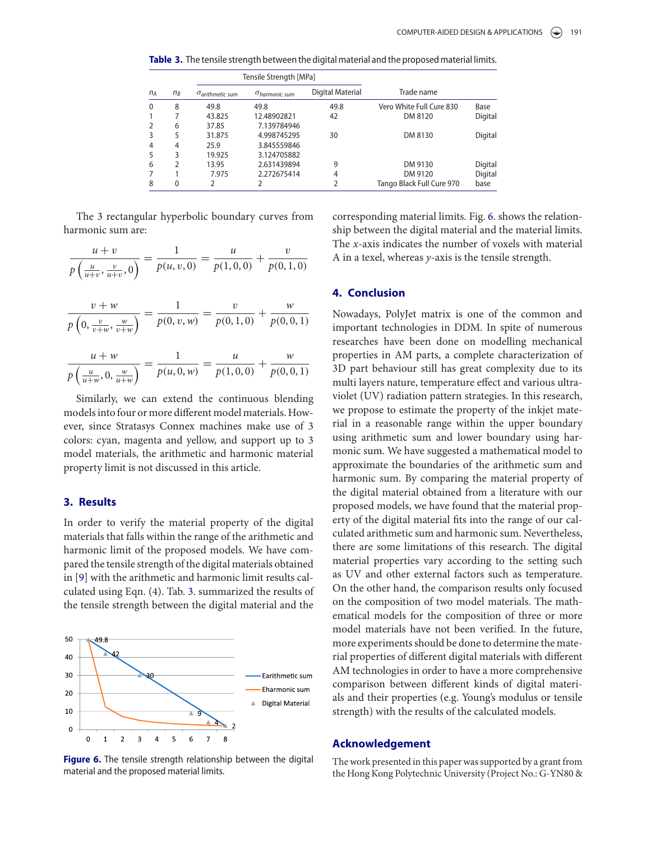<span id="page-3-0"></span>**Table 3.** The tensile strength between the digital material and the proposed material limits.

|                | Tensile Strength [MPa]             |                          |                  |                           |         |
|----------------|------------------------------------|--------------------------|------------------|---------------------------|---------|
| $n_A$<br>$n_B$ | $\sigma$ <sub>arithmetic</sub> sum | $\sigma_{harmonic\ sum}$ | Digital Material | Trade name                |         |
| 8              | 49.8                               | 49.8                     | 49.8             | Vero White Full Cure 830  | Base    |
| 7              | 43.825                             | 12.48902821              | 42               | DM 8120                   | Digital |
| 6              | 37.85                              | 7.139784946              |                  |                           |         |
| 5              | 31.875                             | 4.998745295              | 30               | DM 8130                   | Digital |
| 4              | 25.9                               | 3.845559846              |                  |                           |         |
| 3              | 19.925                             | 3.124705882              |                  |                           |         |
| 2              | 13.95                              | 2.631439894              | 9                | DM 9130                   | Digital |
|                | 7.975                              | 2.272675414              | 4                | DM 9120                   | Digital |
| 0              |                                    |                          | $\overline{2}$   | Tango Black Full Cure 970 | base    |
|                |                                    |                          |                  |                           |         |

The 3 rectangular hyperbolic boundary curves from harmonic sum are:

$$
\frac{u+v}{p\left(\frac{u}{u+v}, \frac{v}{u+v}, 0\right)} = \frac{1}{p(u, v, 0)} = \frac{u}{p(1, 0, 0)} + \frac{v}{p(0, 1, 0)}
$$

$$
\frac{v + w}{p\left(0, \frac{v}{v + w}, \frac{w}{v + w}\right)} = \frac{1}{p(0, v, w)} = \frac{v}{p(0, 1, 0)} + \frac{w}{p(0, 0, 1)}
$$

$$
\frac{u+w}{p\left(\frac{u}{u+w},0,\frac{w}{u+w}\right)} = \frac{1}{p(u,0,w)} = \frac{u}{p(1,0,0)} + \frac{w}{p(0,0,1)}
$$

Similarly, we can extend the continuous blending models into four or more different model materials. However, since Stratasys Connex machines make use of 3 colors: cyan, magenta and yellow, and support up to 3 model materials, the arithmetic and harmonic material property limit is not discussed in this article.

#### **3. Results**

<span id="page-3-2"></span>In order to verify the material property of the digital materials that falls within the range of the arithmetic and harmonic limit of the proposed models. We have compared the tensile strength of the digital materials obtained in [\[9](#page-4-13)] with the arithmetic and harmonic limit results calculated using Eqn. (4). Tab. [3.](#page-3-0) summarized the results of the tensile strength between the digital material and the



<span id="page-3-1"></span>**Figure 6.** The tensile strength relationship between the digital material and the proposed material limits.

corresponding material limits. Fig. [6.](#page-3-1) shows the relationship between the digital material and the material limits. The *x*-axis indicates the number of voxels with material A in a texel, whereas *y*-axis is the tensile strength.

### **4. Conclusion**

Nowadays, PolyJet matrix is one of the common and important technologies in DDM. In spite of numerous researches have been done on modelling mechanical properties in AM parts, a complete characterization of 3D part behaviour still has great complexity due to its multi layers nature, temperature effect and various ultraviolet (UV) radiation pattern strategies. In this research, we propose to estimate the property of the inkjet material in a reasonable range within the upper boundary using arithmetic sum and lower boundary using harmonic sum. We have suggested a mathematical model to approximate the boundaries of the arithmetic sum and harmonic sum. By comparing the material property of the digital material obtained from a literature with our proposed models, we have found that the material property of the digital material fits into the range of our calculated arithmetic sum and harmonic sum. Nevertheless, there are some limitations of this research. The digital material properties vary according to the setting such as UV and other external factors such as temperature. On the other hand, the comparison results only focused on the composition of two model materials. The mathematical models for the composition of three or more model materials have not been verified. In the future, more experiments should be done to determine the material properties of different digital materials with different AM technologies in order to have a more comprehensive comparison between different kinds of digital materials and their properties (e.g. Young's modulus or tensile strength) with the results of the calculated models.

#### **Acknowledgement**

The work presented in this paper was supported by a grant from the Hong Kong Polytechnic University (Project No.: G-YN80 &